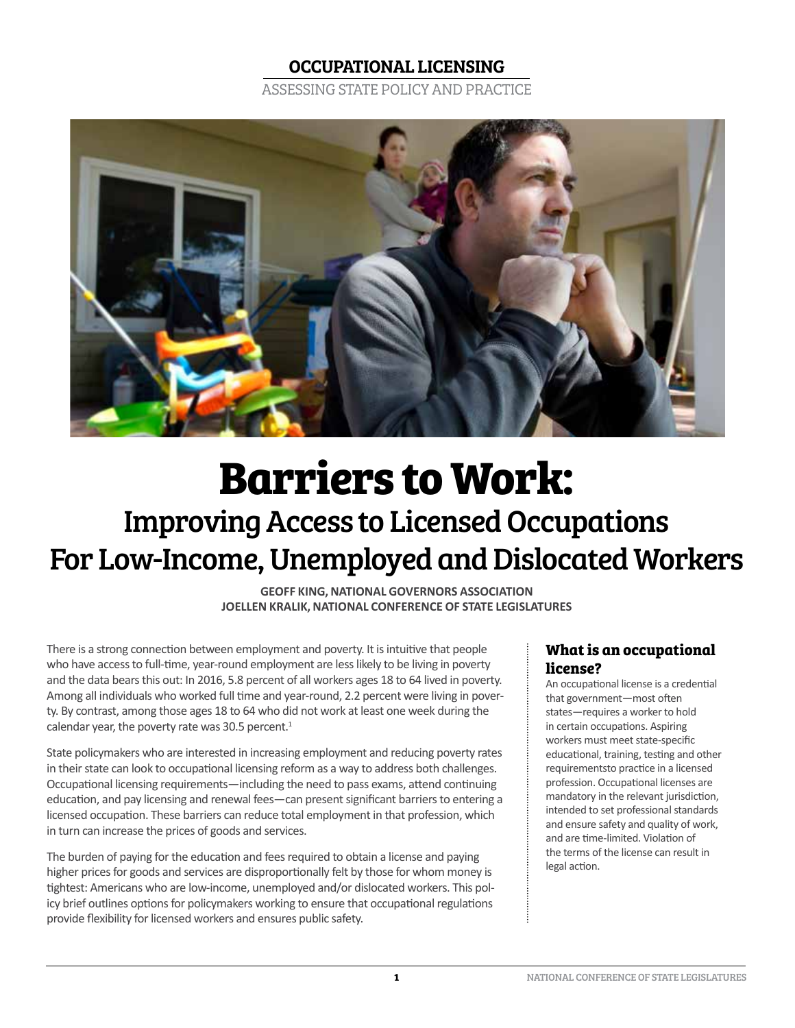### OCCUPATIONAL LICENSING

ASSESSING STATE POLICY AND PRACTICE



# **Barriers to Work:**  Improving Access to Licensed Occupations For Low-Income, Unemployed and Dislocated Workers

**GEOFF KING, NATIONAL GOVERNORS ASSOCIATION JOELLEN KRALIK, NATIONAL CONFERENCE OF STATE LEGISLATURES**

There is a strong connection between employment and poverty. It is intuitive that people who have access to full-time, year-round employment are less likely to be living in poverty and the data bears this out: In 2016, 5.8 percent of all workers ages 18 to 64 lived in poverty. Among all individuals who worked full time and year-round, 2.2 percent were living in poverty. By contrast, among those ages 18 to 64 who did not work at least one week during the calendar year, the poverty rate was 30.5 percent. $1$ 

State policymakers who are interested in increasing employment and reducing poverty rates in their state can look to occupational licensing reform as a way to address both challenges. Occupational licensing requirements—including the need to pass exams, attend continuing education, and pay licensing and renewal fees—can present significant barriers to entering a licensed occupation. These barriers can reduce total employment in that profession, which in turn can increase the prices of goods and services.

The burden of paying for the education and fees required to obtain a license and paying higher prices for goods and services are disproportionally felt by those for whom money is tightest: Americans who are low-income, unemployed and/or dislocated workers. This policy brief outlines options for policymakers working to ensure that occupational regulations provide flexibility for licensed workers and ensures public safety.

### **What is an occupational license?**

An occupational license is a credential that government—most often states—requires a worker to hold in certain occupations. Aspiring workers must meet state-specific educational, training, testing and other requirementsto practice in a licensed profession. Occupational licenses are mandatory in the relevant jurisdiction, intended to set professional standards and ensure safety and quality of work, and are time-limited. Violation of the terms of the license can result in legal action.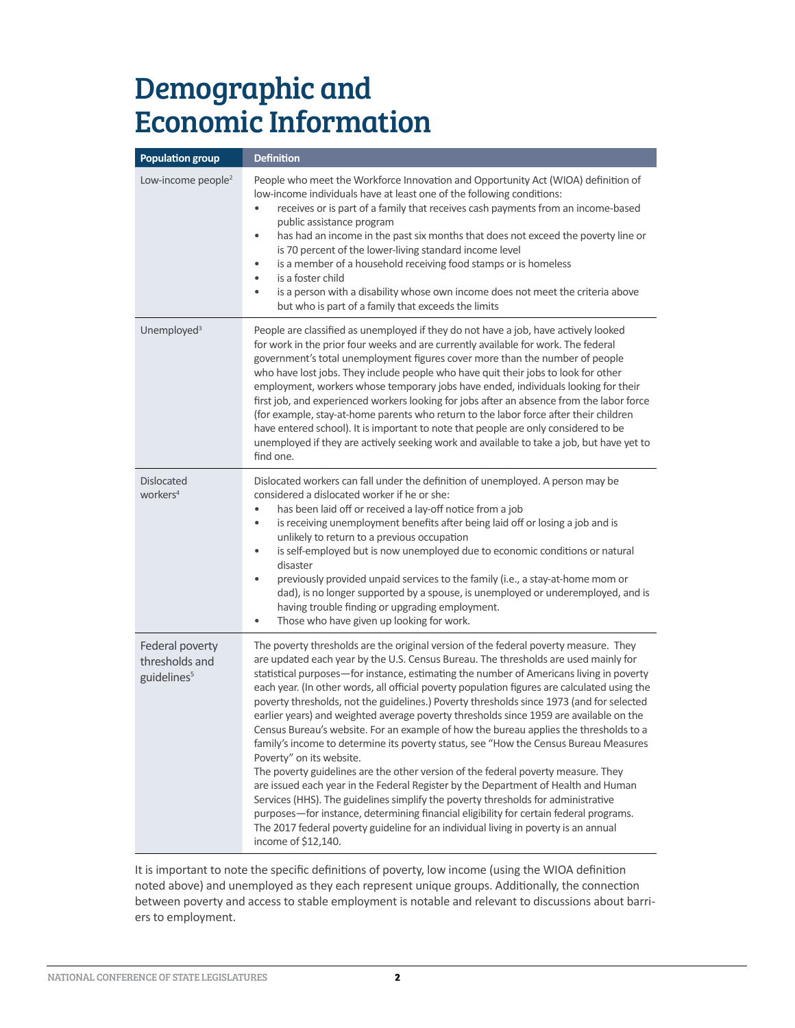## Demographic and Economic Information

| <b>Population group</b>                                      | <b>Definition</b>                                                                                                                                                                                                                                                                                                                                                                                                                                                                                                                                                                                                                                                                                                                                                                                                                                                                                                                                                                                                                                                                                                                                                                                                                                 |
|--------------------------------------------------------------|---------------------------------------------------------------------------------------------------------------------------------------------------------------------------------------------------------------------------------------------------------------------------------------------------------------------------------------------------------------------------------------------------------------------------------------------------------------------------------------------------------------------------------------------------------------------------------------------------------------------------------------------------------------------------------------------------------------------------------------------------------------------------------------------------------------------------------------------------------------------------------------------------------------------------------------------------------------------------------------------------------------------------------------------------------------------------------------------------------------------------------------------------------------------------------------------------------------------------------------------------|
| Low-income people <sup>2</sup>                               | People who meet the Workforce Innovation and Opportunity Act (WIOA) definition of<br>low-income individuals have at least one of the following conditions:<br>receives or is part of a family that receives cash payments from an income-based<br>$\bullet$<br>public assistance program<br>has had an income in the past six months that does not exceed the poverty line or<br>$\bullet$<br>is 70 percent of the lower-living standard income level<br>is a member of a household receiving food stamps or is homeless<br>$\bullet$<br>is a foster child<br>٠<br>is a person with a disability whose own income does not meet the criteria above<br>$\bullet$<br>but who is part of a family that exceeds the limits                                                                                                                                                                                                                                                                                                                                                                                                                                                                                                                            |
| Unemployed <sup>3</sup>                                      | People are classified as unemployed if they do not have a job, have actively looked<br>for work in the prior four weeks and are currently available for work. The federal<br>government's total unemployment figures cover more than the number of people<br>who have lost jobs. They include people who have quit their jobs to look for other<br>employment, workers whose temporary jobs have ended, individuals looking for their<br>first job, and experienced workers looking for jobs after an absence from the labor force<br>(for example, stay-at-home parents who return to the labor force after their children<br>have entered school). It is important to note that people are only considered to be<br>unemployed if they are actively seeking work and available to take a job, but have yet to<br>find one.                                                                                                                                                                                                                                                                                                                                                                                                                      |
| <b>Dislocated</b><br>workers <sup>4</sup>                    | Dislocated workers can fall under the definition of unemployed. A person may be<br>considered a dislocated worker if he or she:<br>has been laid off or received a lay-off notice from a job<br>$\bullet$<br>is receiving unemployment benefits after being laid off or losing a job and is<br>$\bullet$<br>unlikely to return to a previous occupation<br>is self-employed but is now unemployed due to economic conditions or natural<br>$\bullet$<br>disaster<br>previously provided unpaid services to the family (i.e., a stay-at-home mom or<br>$\bullet$<br>dad), is no longer supported by a spouse, is unemployed or underemployed, and is<br>having trouble finding or upgrading employment.<br>Those who have given up looking for work.<br>$\bullet$                                                                                                                                                                                                                                                                                                                                                                                                                                                                                  |
| Federal poverty<br>thresholds and<br>guidelines <sup>5</sup> | The poverty thresholds are the original version of the federal poverty measure. They<br>are updated each year by the U.S. Census Bureau. The thresholds are used mainly for<br>statistical purposes-for instance, estimating the number of Americans living in poverty<br>each year. (In other words, all official poverty population figures are calculated using the<br>poverty thresholds, not the guidelines.) Poverty thresholds since 1973 (and for selected<br>earlier years) and weighted average poverty thresholds since 1959 are available on the<br>Census Bureau's website. For an example of how the bureau applies the thresholds to a<br>family's income to determine its poverty status, see "How the Census Bureau Measures<br>Poverty" on its website.<br>The poverty guidelines are the other version of the federal poverty measure. They<br>are issued each year in the Federal Register by the Department of Health and Human<br>Services (HHS). The guidelines simplify the poverty thresholds for administrative<br>purposes-for instance, determining financial eligibility for certain federal programs.<br>The 2017 federal poverty guideline for an individual living in poverty is an annual<br>income of \$12,140. |

It is important to note the specific definitions of poverty, low income (using the WIOA definition noted above) and unemployed as they each represent unique groups. Additionally, the connection between poverty and access to stable employment is notable and relevant to discussions about barriers to employment.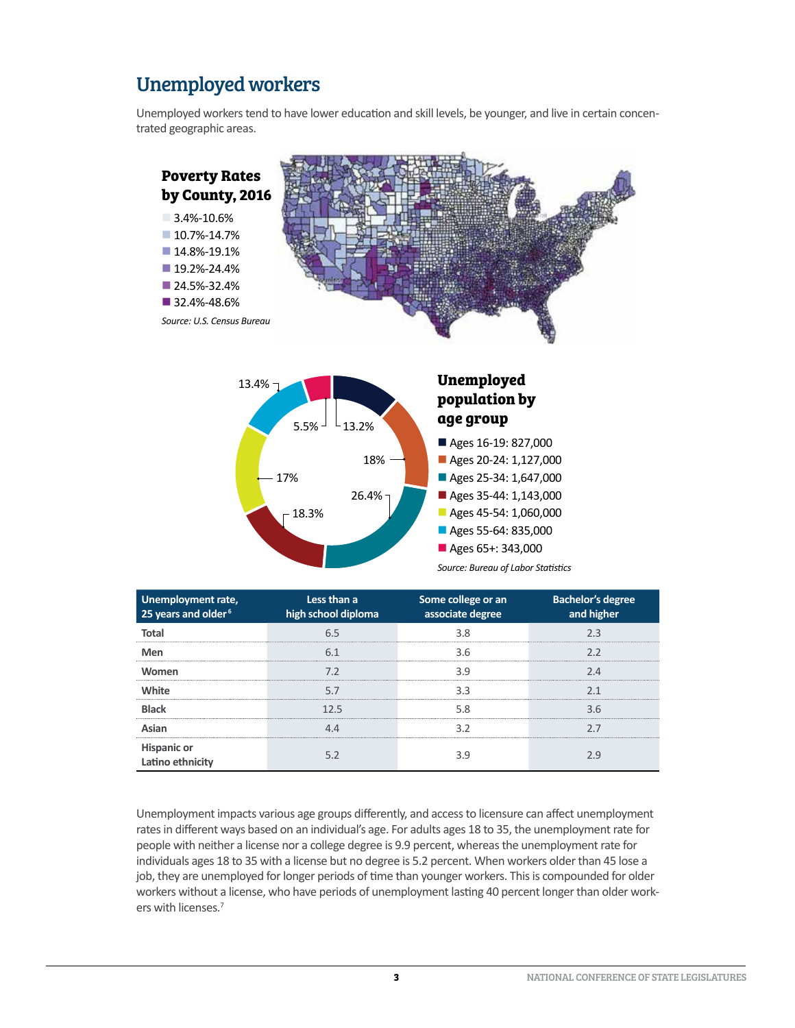## Unemployed workers

Unemployed workers tend to have lower education and skill levels, be younger, and live in certain concentrated geographic areas.





| Unemployment rate,<br>25 years and older <sup>6</sup> | Less than a<br>high school diploma | Some college or an<br>associate degree | Bachelor's degree<br>and higher |
|-------------------------------------------------------|------------------------------------|----------------------------------------|---------------------------------|
| Total                                                 | 65                                 | 3.8                                    | ב כ                             |
| Men                                                   |                                    | 3.6                                    |                                 |
| Women                                                 | 7.2                                | 3.9                                    | 2.4                             |
| White                                                 | 5.7                                | 3.3                                    |                                 |
| <b>Black</b>                                          | 12.5                               | 5.8                                    | 3.6                             |
| Asian                                                 |                                    | 32                                     |                                 |
| <b>Hispanic or</b><br>Latino ethnicity                |                                    |                                        |                                 |

Unemployment impacts various age groups differently, and access to licensure can affect unemployment rates in different ways based on an individual's age. For adults ages 18 to 35, the unemployment rate for people with neither a license nor a college degree is 9.9 percent, whereas the unemployment rate for individuals ages 18 to 35 with a license but no degree is 5.2 percent. When workers older than 45 lose a job, they are unemployed for longer periods of time than younger workers. This is compounded for older workers without a license, who have periods of unemployment lasting 40 percent longer than older workers with licenses.7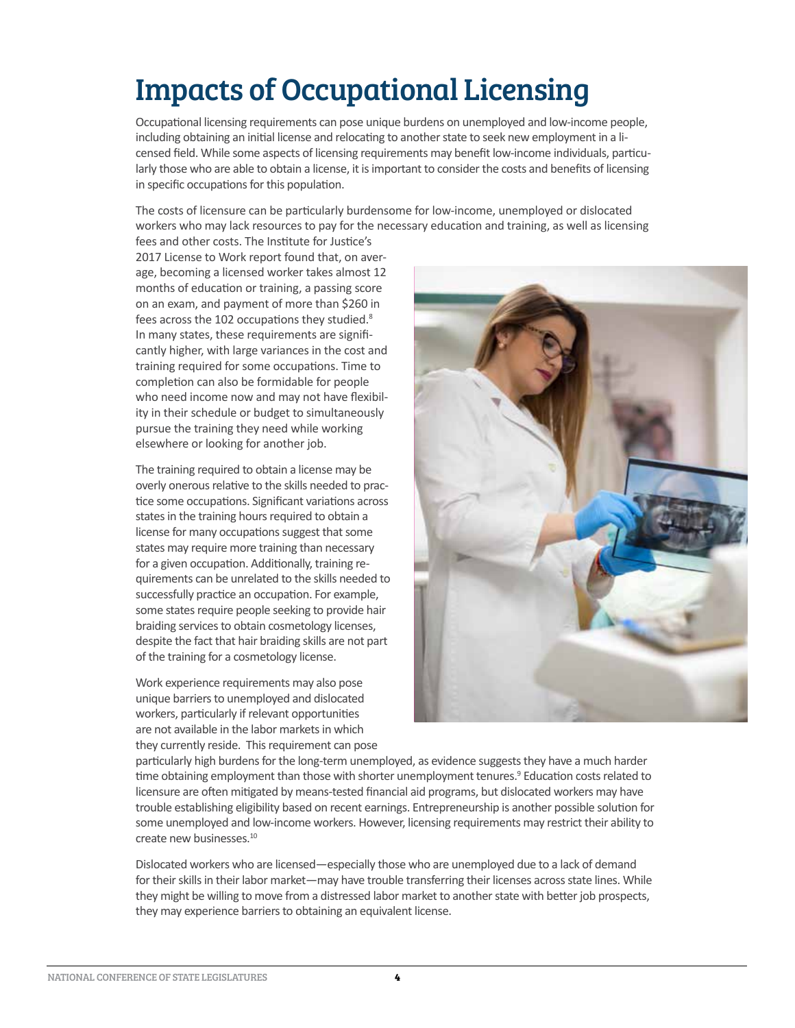## Impacts of Occupational Licensing

Occupational licensing requirements can pose unique burdens on unemployed and low-income people, including obtaining an initial license and relocating to another state to seek new employment in a licensed field. While some aspects of licensing requirements may benefit low-income individuals, particularly those who are able to obtain a license, it is important to consider the costs and benefits of licensing in specific occupations for this population.

The costs of licensure can be particularly burdensome for low-income, unemployed or dislocated workers who may lack resources to pay for the necessary education and training, as well as licensing

fees and other costs. The Institute for Justice's 2017 License to Work report found that, on average, becoming a licensed worker takes almost 12 months of education or training, a passing score on an exam, and payment of more than \$260 in fees across the 102 occupations they studied.<sup>8</sup> In many states, these requirements are significantly higher, with large variances in the cost and training required for some occupations. Time to completion can also be formidable for people who need income now and may not have flexibility in their schedule or budget to simultaneously pursue the training they need while working elsewhere or looking for another job.

The training required to obtain a license may be overly onerous relative to the skills needed to practice some occupations. Significant variations across states in the training hours required to obtain a license for many occupations suggest that some states may require more training than necessary for a given occupation. Additionally, training requirements can be unrelated to the skills needed to successfully practice an occupation. For example, some states require people seeking to provide hair braiding services to obtain cosmetology licenses, despite the fact that hair braiding skills are not part of the training for a cosmetology license.

Work experience requirements may also pose unique barriers to unemployed and dislocated workers, particularly if relevant opportunities are not available in the labor markets in which they currently reside. This requirement can pose



particularly high burdens for the long-term unemployed, as evidence suggests they have a much harder time obtaining employment than those with shorter unemployment tenures.<sup>9</sup> Education costs related to licensure are often mitigated by means-tested financial aid programs, but dislocated workers may have trouble establishing eligibility based on recent earnings. Entrepreneurship is another possible solution for some unemployed and low-income workers. However, licensing requirements may restrict their ability to create new businesses.<sup>10</sup>

Dislocated workers who are licensed—especially those who are unemployed due to a lack of demand for their skills in their labor market—may have trouble transferring their licenses across state lines. While they might be willing to move from a distressed labor market to another state with better job prospects, they may experience barriers to obtaining an equivalent license.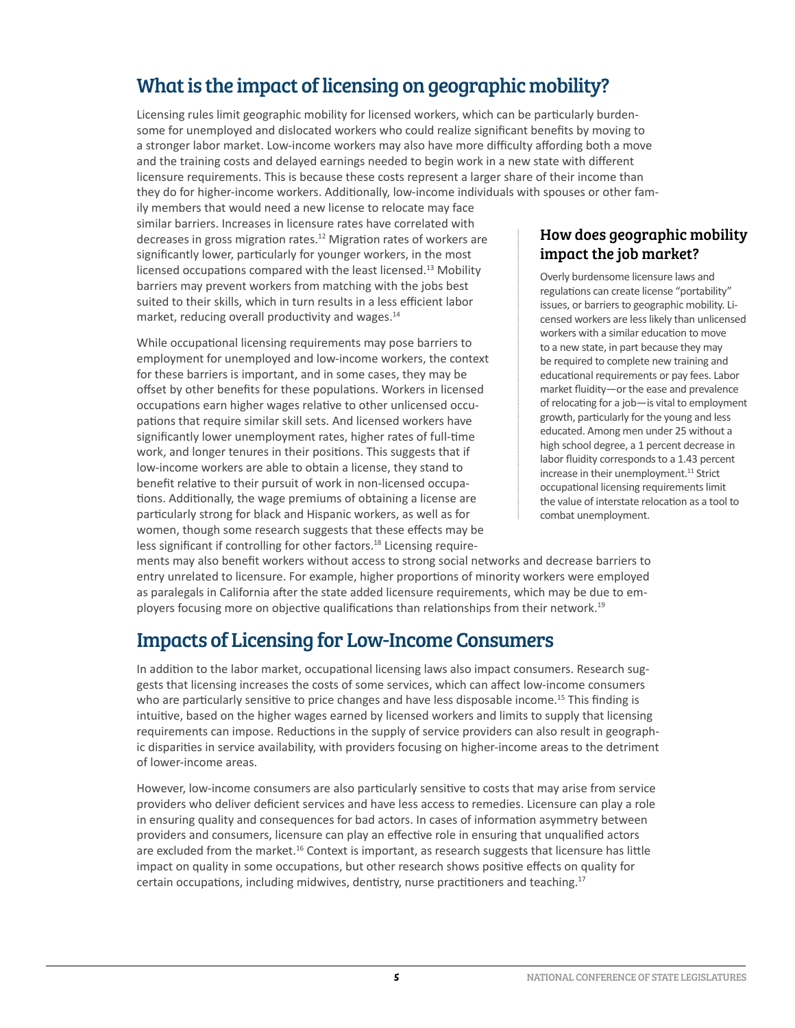## What is the impact of licensing on geographic mobility?

Licensing rules limit geographic mobility for licensed workers, which can be particularly burdensome for unemployed and dislocated workers who could realize significant benefits by moving to a stronger labor market. Low-income workers may also have more difficulty affording both a move and the training costs and delayed earnings needed to begin work in a new state with different licensure requirements. This is because these costs represent a larger share of their income than they do for higher-income workers. Additionally, low-income individuals with spouses or other fam-

ily members that would need a new license to relocate may face similar barriers. Increases in licensure rates have correlated with decreases in gross migration rates.<sup>12</sup> Migration rates of workers are significantly lower, particularly for younger workers, in the most licensed occupations compared with the least licensed.<sup>13</sup> Mobility barriers may prevent workers from matching with the jobs best suited to their skills, which in turn results in a less efficient labor market, reducing overall productivity and wages.<sup>14</sup>

While occupational licensing requirements may pose barriers to employment for unemployed and low-income workers, the context for these barriers is important, and in some cases, they may be offset by other benefits for these populations. Workers in licensed occupations earn higher wages relative to other unlicensed occupations that require similar skill sets. And licensed workers have significantly lower unemployment rates, higher rates of full-time work, and longer tenures in their positions. This suggests that if low-income workers are able to obtain a license, they stand to benefit relative to their pursuit of work in non-licensed occupations. Additionally, the wage premiums of obtaining a license are particularly strong for black and Hispanic workers, as well as for women, though some research suggests that these effects may be less significant if controlling for other factors.<sup>18</sup> Licensing require-

#### How does geographic mobility impact the job market?

Overly burdensome licensure laws and regulations can create license "portability" issues, or barriers to geographic mobility. Licensed workers are less likely than unlicensed workers with a similar education to move to a new state, in part because they may be required to complete new training and educational requirements or pay fees. Labor market fluidity—or the ease and prevalence of relocating for a job—is vital to employment growth, particularly for the young and less educated. Among men under 25 without a high school degree, a 1 percent decrease in labor fluidity corresponds to a 1.43 percent increase in their unemployment.<sup>11</sup> Strict occupational licensing requirements limit the value of interstate relocation as a tool to combat unemployment.

ments may also benefit workers without access to strong social networks and decrease barriers to entry unrelated to licensure. For example, higher proportions of minority workers were employed as paralegals in California after the state added licensure requirements, which may be due to employers focusing more on objective qualifications than relationships from their network.<sup>19</sup>

### Impacts of Licensing for Low-Income Consumers

In addition to the labor market, occupational licensing laws also impact consumers. Research suggests that licensing increases the costs of some services, which can affect low-income consumers who are particularly sensitive to price changes and have less disposable income.<sup>15</sup> This finding is intuitive, based on the higher wages earned by licensed workers and limits to supply that licensing requirements can impose. Reductions in the supply of service providers can also result in geographic disparities in service availability, with providers focusing on higher-income areas to the detriment of lower-income areas.

However, low-income consumers are also particularly sensitive to costs that may arise from service providers who deliver deficient services and have less access to remedies. Licensure can play a role in ensuring quality and consequences for bad actors. In cases of information asymmetry between providers and consumers, licensure can play an effective role in ensuring that unqualified actors are excluded from the market.<sup>16</sup> Context is important, as research suggests that licensure has little impact on quality in some occupations, but other research shows positive effects on quality for certain occupations, including midwives, dentistry, nurse practitioners and teaching.<sup>17</sup>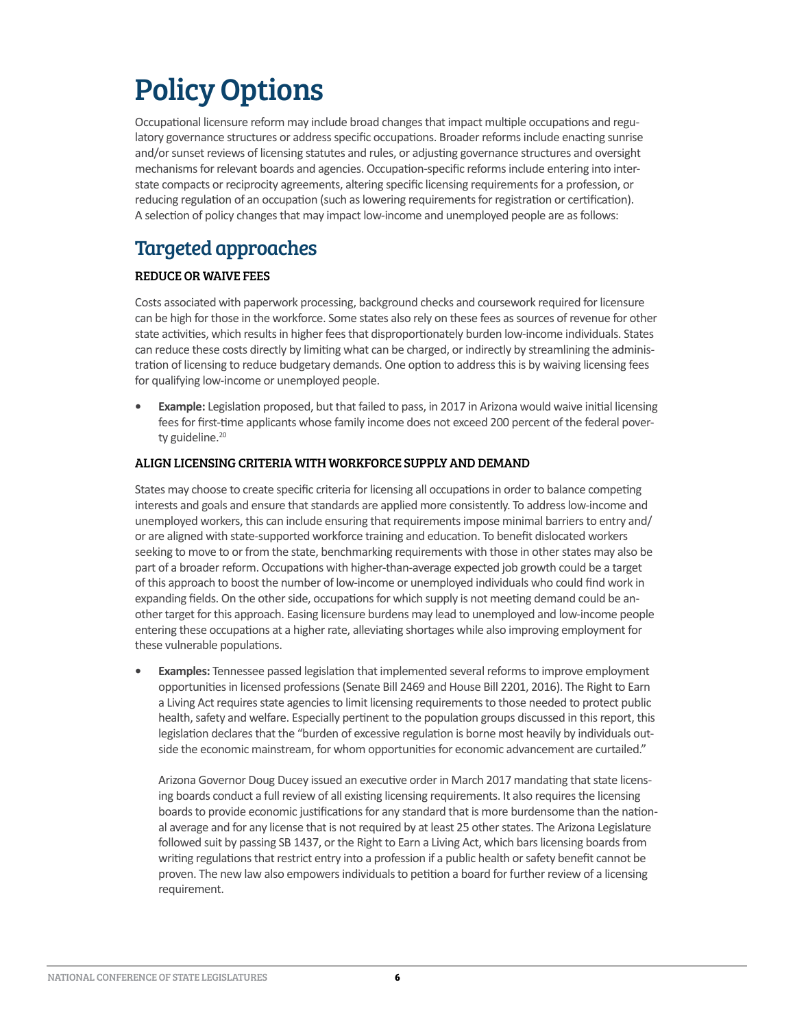## Policy Options

Occupational licensure reform may include broad changes that impact multiple occupations and regulatory governance structures or address specific occupations. Broader reforms include enacting sunrise and/or sunset reviews of licensing statutes and rules, or adjusting governance structures and oversight mechanisms for relevant boards and agencies. Occupation-specific reforms include entering into interstate compacts or reciprocity agreements, altering specific licensing requirements for a profession, or reducing regulation of an occupation (such as lowering requirements for registration or certification). A selection of policy changes that may impact low-income and unemployed people are as follows:

## Targeted approaches

#### REDUCE OR WAIVE FEES

Costs associated with paperwork processing, background checks and coursework required for licensure can be high for those in the workforce. Some states also rely on these fees as sources of revenue for other state activities, which results in higher fees that disproportionately burden low-income individuals. States can reduce these costs directly by limiting what can be charged, or indirectly by streamlining the administration of licensing to reduce budgetary demands. One option to address this is by waiving licensing fees for qualifying low-income or unemployed people.

**• Example:** Legislation proposed, but that failed to pass, in 2017 in Arizona would waive initial licensing fees for first-time applicants whose family income does not exceed 200 percent of the federal poverty guideline.<sup>20</sup>

#### ALIGN LICENSING CRITERIA WITH WORKFORCE SUPPLY AND DEMAND

States may choose to create specific criteria for licensing all occupations in order to balance competing interests and goals and ensure that standards are applied more consistently. To address low-income and unemployed workers, this can include ensuring that requirements impose minimal barriers to entry and/ or are aligned with state-supported workforce training and education. To benefit dislocated workers seeking to move to or from the state, benchmarking requirements with those in other states may also be part of a broader reform. Occupations with higher-than-average expected job growth could be a target of this approach to boost the number of low-income or unemployed individuals who could find work in expanding fields. On the other side, occupations for which supply is not meeting demand could be another target for this approach. Easing licensure burdens may lead to unemployed and low-income people entering these occupations at a higher rate, alleviating shortages while also improving employment for these vulnerable populations.

**• Examples:** Tennessee passed legislation that implemented several reforms to improve employment opportunities in licensed professions (Senate Bill 2469 and House Bill 2201, 2016). The Right to Earn a Living Act requires state agencies to limit licensing requirements to those needed to protect public health, safety and welfare. Especially pertinent to the population groups discussed in this report, this legislation declares that the "burden of excessive regulation is borne most heavily by individuals outside the economic mainstream, for whom opportunities for economic advancement are curtailed."

Arizona Governor Doug Ducey issued an executive order in March 2017 mandating that state licensing boards conduct a full review of all existing licensing requirements. It also requires the licensing boards to provide economic justifications for any standard that is more burdensome than the national average and for any license that is not required by at least 25 other states. The Arizona Legislature followed suit by passing SB 1437, or the Right to Earn a Living Act, which bars licensing boards from writing regulations that restrict entry into a profession if a public health or safety benefit cannot be proven. The new law also empowers individuals to petition a board for further review of a licensing requirement.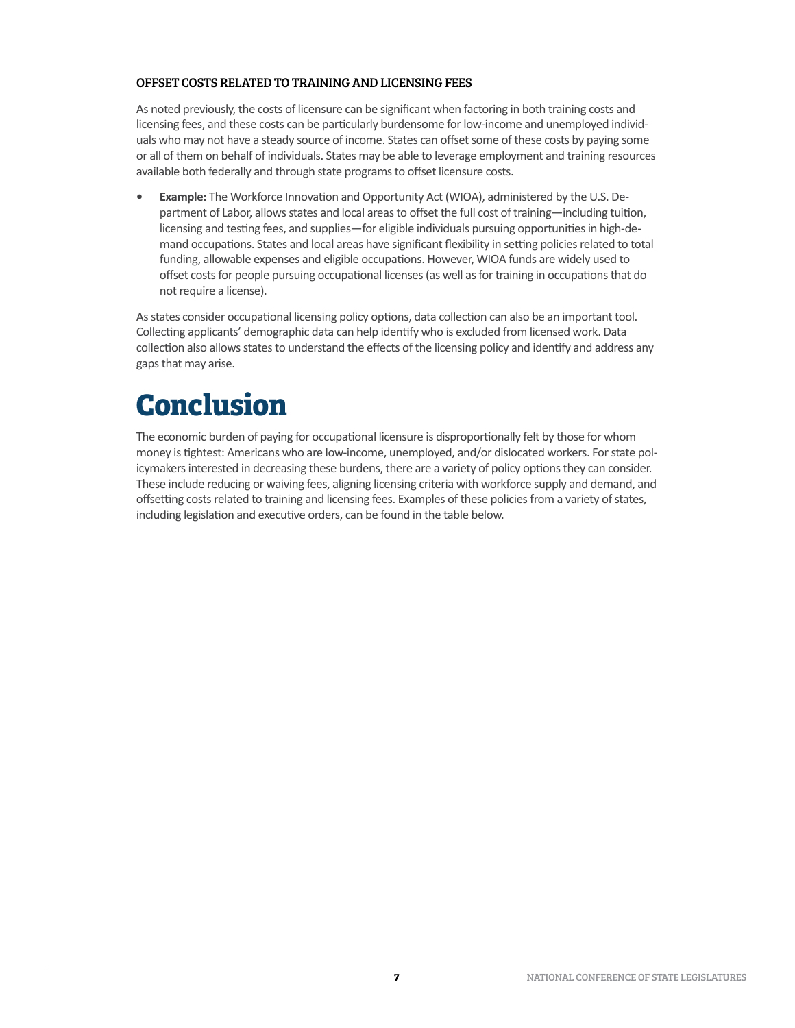#### OFFSET COSTS RELATED TO TRAINING AND LICENSING FEES

As noted previously, the costs of licensure can be significant when factoring in both training costs and licensing fees, and these costs can be particularly burdensome for low-income and unemployed individuals who may not have a steady source of income. States can offset some of these costs by paying some or all of them on behalf of individuals. States may be able to leverage employment and training resources available both federally and through state programs to offset licensure costs.

**• Example:** The Workforce Innovation and Opportunity Act (WIOA), administered by the U.S. Department of Labor, allows states and local areas to offset the full cost of training—including tuition, licensing and testing fees, and supplies—for eligible individuals pursuing opportunities in high-demand occupations. States and local areas have significant flexibility in setting policies related to total funding, allowable expenses and eligible occupations. However, WIOA funds are widely used to offset costs for people pursuing occupational licenses (as well as for training in occupations that do not require a license).

As states consider occupational licensing policy options, data collection can also be an important tool. Collecting applicants' demographic data can help identify who is excluded from licensed work. Data collection also allows states to understand the effects of the licensing policy and identify and address any gaps that may arise.

## **Conclusion**

The economic burden of paying for occupational licensure is disproportionally felt by those for whom money is tightest: Americans who are low-income, unemployed, and/or dislocated workers. For state policymakers interested in decreasing these burdens, there are a variety of policy options they can consider. These include reducing or waiving fees, aligning licensing criteria with workforce supply and demand, and offsetting costs related to training and licensing fees. Examples of these policies from a variety of states, including legislation and executive orders, can be found in the table below.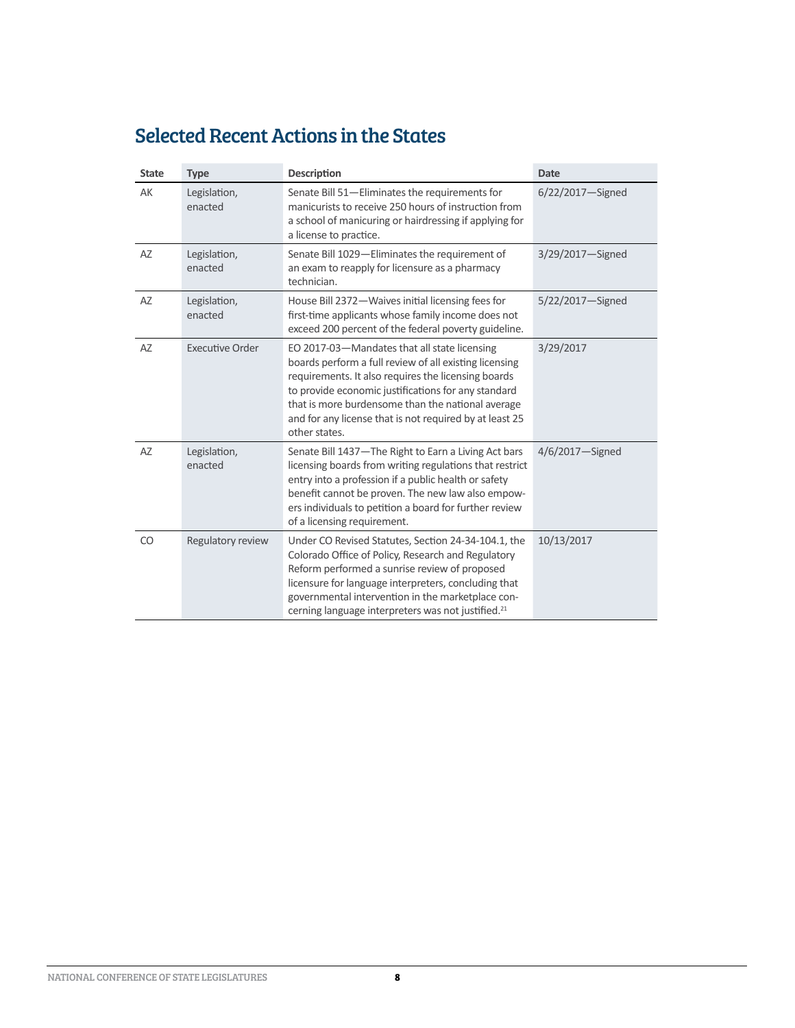## Selected Recent Actions in the States

| <b>State</b> | <b>Type</b>             | <b>Description</b>                                                                                                                                                                                                                                                                                                                                    | <b>Date</b>      |
|--------------|-------------------------|-------------------------------------------------------------------------------------------------------------------------------------------------------------------------------------------------------------------------------------------------------------------------------------------------------------------------------------------------------|------------------|
| AK           | Legislation,<br>enacted | Senate Bill 51-Eliminates the requirements for<br>manicurists to receive 250 hours of instruction from<br>a school of manicuring or hairdressing if applying for<br>a license to practice.                                                                                                                                                            | 6/22/2017-Signed |
| AZ           | Legislation,<br>enacted | Senate Bill 1029-Eliminates the requirement of<br>an exam to reapply for licensure as a pharmacy<br>technician.                                                                                                                                                                                                                                       | 3/29/2017-Signed |
| AZ           | Legislation,<br>enacted | House Bill 2372-Waives initial licensing fees for<br>first-time applicants whose family income does not<br>exceed 200 percent of the federal poverty guideline.                                                                                                                                                                                       | 5/22/2017-Signed |
| AZ           | <b>Executive Order</b>  | EO 2017-03-Mandates that all state licensing<br>boards perform a full review of all existing licensing<br>requirements. It also requires the licensing boards<br>to provide economic justifications for any standard<br>that is more burdensome than the national average<br>and for any license that is not required by at least 25<br>other states. | 3/29/2017        |
| AZ           | Legislation,<br>enacted | Senate Bill 1437-The Right to Earn a Living Act bars<br>licensing boards from writing regulations that restrict<br>entry into a profession if a public health or safety<br>benefit cannot be proven. The new law also empow-<br>ers individuals to petition a board for further review<br>of a licensing requirement.                                 | 4/6/2017-Signed  |
| CO           | Regulatory review       | Under CO Revised Statutes, Section 24-34-104.1, the<br>Colorado Office of Policy, Research and Regulatory<br>Reform performed a sunrise review of proposed<br>licensure for language interpreters, concluding that<br>governmental intervention in the marketplace con-<br>cerning language interpreters was not justified. <sup>21</sup>             | 10/13/2017       |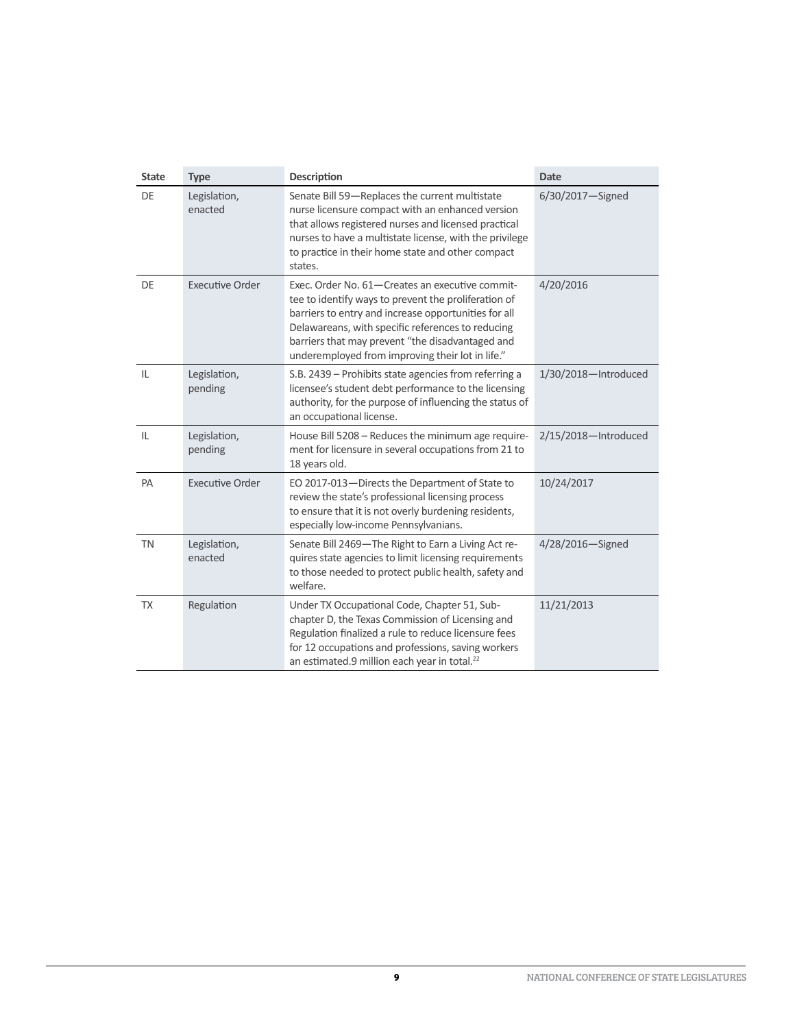| <b>State</b> | <b>Type</b>             | <b>Description</b>                                                                                                                                                                                                                                                                                                           | <b>Date</b>          |
|--------------|-------------------------|------------------------------------------------------------------------------------------------------------------------------------------------------------------------------------------------------------------------------------------------------------------------------------------------------------------------------|----------------------|
| DE           | Legislation,<br>enacted | Senate Bill 59-Replaces the current multistate<br>nurse licensure compact with an enhanced version<br>that allows registered nurses and licensed practical<br>nurses to have a multistate license, with the privilege<br>to practice in their home state and other compact<br>states.                                        | 6/30/2017-Signed     |
| DE           | <b>Executive Order</b>  | Exec. Order No. 61-Creates an executive commit-<br>tee to identify ways to prevent the proliferation of<br>barriers to entry and increase opportunities for all<br>Delawareans, with specific references to reducing<br>barriers that may prevent "the disadvantaged and<br>underemployed from improving their lot in life." | 4/20/2016            |
| IL           | Legislation,<br>pending | S.B. 2439 – Prohibits state agencies from referring a<br>licensee's student debt performance to the licensing<br>authority, for the purpose of influencing the status of<br>an occupational license.                                                                                                                         | 1/30/2018-Introduced |
| IL           | Legislation,<br>pending | House Bill 5208 - Reduces the minimum age require-<br>ment for licensure in several occupations from 21 to<br>18 years old.                                                                                                                                                                                                  | 2/15/2018-Introduced |
| PA           | <b>Executive Order</b>  | EO 2017-013-Directs the Department of State to<br>review the state's professional licensing process<br>to ensure that it is not overly burdening residents,<br>especially low-income Pennsylvanians.                                                                                                                         | 10/24/2017           |
| <b>TN</b>    | Legislation,<br>enacted | Senate Bill 2469-The Right to Earn a Living Act re-<br>quires state agencies to limit licensing requirements<br>to those needed to protect public health, safety and<br>welfare.                                                                                                                                             | 4/28/2016-Signed     |
| <b>TX</b>    | Regulation              | Under TX Occupational Code, Chapter 51, Sub-<br>chapter D, the Texas Commission of Licensing and<br>Regulation finalized a rule to reduce licensure fees<br>for 12 occupations and professions, saving workers<br>an estimated.9 million each year in total. <sup>22</sup>                                                   | 11/21/2013           |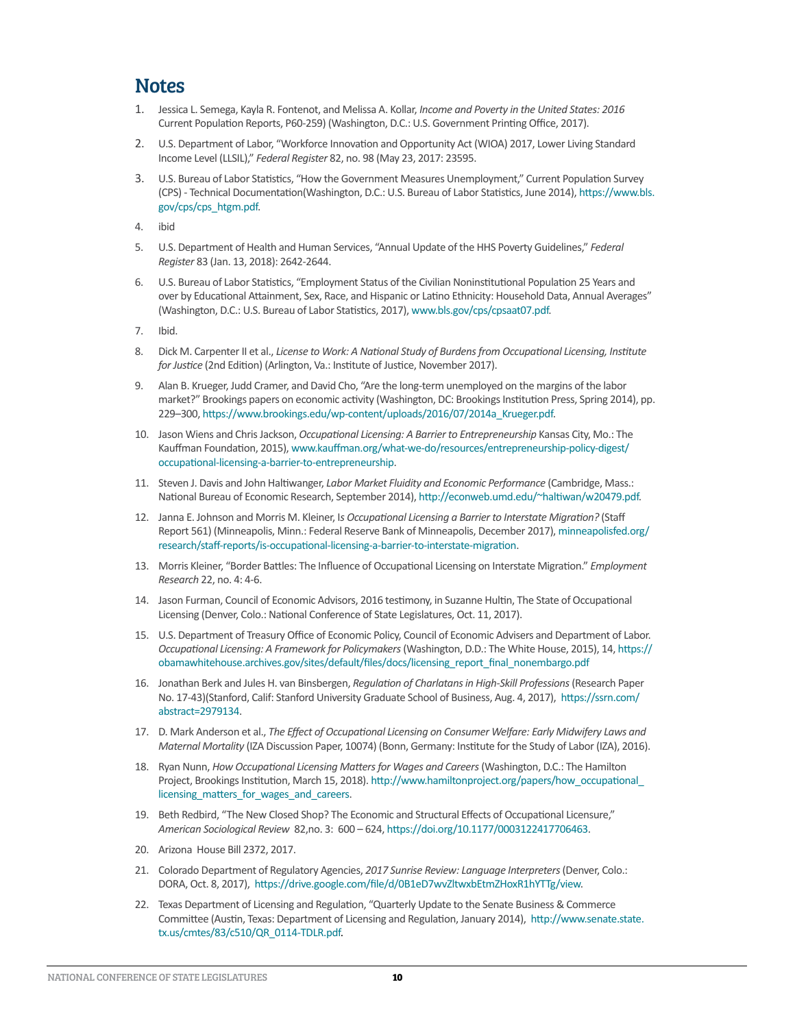### **Notes**

- 1. Jessica L. Semega, Kayla R. Fontenot, and Melissa A. Kollar, *Income and Poverty in the United States: 2016* Current Population Reports, P60-259) (Washington, D.C.: U.S. Government Printing Office, 2017).
- 2. U.S. Department of Labor, "Workforce Innovation and Opportunity Act (WIOA) 2017, Lower Living Standard Income Level (LLSIL)," *Federal Register* 82, no. 98 (May 23, 2017: 23595.
- 3. U.S. Bureau of Labor Statistics, "How the Government Measures Unemployment," Current Population Survey (CPS) - Technical Documentation(Washington, D.C.: U.S. Bureau of Labor Statistics, June 2014), [https://www.bls.](https://www.bls.gov/cps/cps_htgm.pdf) [gov/cps/cps\\_htgm.pdf.](https://www.bls.gov/cps/cps_htgm.pdf)
- 4. ibid
- 5. U.S. Department of Health and Human Services, "Annual Update of the HHS Poverty Guidelines," *Federal Register* 83 (Jan. 13, 2018): 2642-2644.
- 6. U.S. Bureau of Labor Statistics, "Employment Status of the Civilian Noninstitutional Population 25 Years and over by Educational Attainment, Sex, Race, and Hispanic or Latino Ethnicity: Household Data, Annual Averages" (Washington, D.C.: U.S. Bureau of Labor Statistics, 2017), [www.bls.gov/cps/cpsaat07.pdf.](http://www.bls.gov/cps/cpsaat07.pdf)
- 7. Ibid.
- 8. Dick M. Carpenter II et al., *License to Work: A National Study of Burdens from Occupational Licensing, Institute for Justice* (2nd Edition) (Arlington, Va.: Institute of Justice, November 2017).
- 9. Alan B. Krueger, Judd Cramer, and David Cho, "Are the long-term unemployed on the margins of the labor market?" Brookings papers on economic activity (Washington, DC: Brookings Institution Press, Spring 2014), pp. 229–300, [https://www.brookings.edu/wp-content/uploads/2016/07/2014a\\_Krueger.pdf.](https://www.brookings.edu/wp-content/uploads/2016/07/2014a_Krueger.pdf)
- 10. Jason Wiens and Chris Jackson, *Occupational Licensing: A Barrier to Entrepreneurship* Kansas City, Mo.: The Kauffman Foundation, 2015), [www.kauffman.org/what-we-do/resources/entrepreneurship-policy-digest/](http://www.kauffman.org/what-we-do/resources/entrepreneurship-policy-digest/occupational-licensing-a-barrier-to-entrepreneurship) [occupational-licensing-a-barrier-to-entrepreneurship](http://www.kauffman.org/what-we-do/resources/entrepreneurship-policy-digest/occupational-licensing-a-barrier-to-entrepreneurship).
- 11. Steven J. Davis and John Haltiwanger, *Labor Market Fluidity and Economic Performance* (Cambridge, Mass.: National Bureau of Economic Research, September 2014), <http://econweb.umd.edu/~haltiwan/w20479.pdf>.
- 12. Janna E. Johnson and Morris M. Kleiner, I*s Occupational Licensing a Barrier to Interstate Migration?* (Staff Report 561) (Minneapolis, Minn.: Federal Reserve Bank of Minneapolis, December 2017), [minneapolisfed.org/](http://minneapolisfed.org/research/staff-reports/is-occupational-licensing-a-barrier-to-interstate-migration) [research/staff-reports/is-occupational-licensing-a-barrier-to-interstate-migration.](http://minneapolisfed.org/research/staff-reports/is-occupational-licensing-a-barrier-to-interstate-migration)
- 13. Morris Kleiner, "Border Battles: The Influence of Occupational Licensing on Interstate Migration." *Employment Research* 22, no. 4: 4-6.
- 14. Jason Furman, Council of Economic Advisors, 2016 testimony, in Suzanne Hultin, The State of Occupational Licensing (Denver, Colo.: National Conference of State Legislatures, Oct. 11, 2017).
- 15. U.S. Department of Treasury Office of Economic Policy, Council of Economic Advisers and Department of Labor. *Occupational Licensing: A Framework for Policymakers* (Washington, D.D.: The White House, 2015), 14, [https://](https://obamawhitehouse.archives.gov/sites/default/files/docs/licensing_report_final_nonembargo.pdf) [obamawhitehouse.archives.gov/sites/default/files/docs/licensing\\_report\\_final\\_nonembargo.pdf](https://obamawhitehouse.archives.gov/sites/default/files/docs/licensing_report_final_nonembargo.pdf)
- 16. Jonathan Berk and Jules H. van Binsbergen, *Regulation of Charlatans in High-Skill Professions* (Research Paper No. 17-43)(Stanford, Calif: Stanford University Graduate School of Business, Aug. 4, 2017), [https://ssrn.com/](https://ssrn.com/abstract=2979134) [abstract=2979134](https://ssrn.com/abstract=2979134).
- 17. D. Mark Anderson et al., *The Effect of Occupational Licensing on Consumer Welfare: Early Midwifery Laws and Maternal Mortality* (IZA Discussion Paper, 10074) (Bonn, Germany: Institute for the Study of Labor (IZA), 2016).
- 18. Ryan Nunn, *How Occupational Licensing Matters for Wages and Careers* (Washington, D.C.: The Hamilton Project, Brookings Institution, March 15, 2018). [http://www.hamiltonproject.org/papers/how\\_occupational\\_](http://www.hamiltonproject.org/papers/how_occupational_licensing_matters_for_wages_and_careers) [licensing\\_matters\\_for\\_wages\\_and\\_careers](http://www.hamiltonproject.org/papers/how_occupational_licensing_matters_for_wages_and_careers).
- 19. Beth Redbird, "The New Closed Shop? The Economic and Structural Effects of Occupational Licensure," *American Sociological Review* 82,no. 3: 600 – 624, [https://doi.org/10.1177/0003122417706463.](https://doi.org/10.1177%2F0003122417706463)
- 20. Arizona House Bill 2372, 2017.
- 21. Colorado Department of Regulatory Agencies, *2017 Sunrise Review: Language Interpreters* (Denver, Colo.: DORA, Oct. 8, 2017), <https://drive.google.com/file/d/0B1eD7wvZltwxbEtmZHoxR1hYTTg/view>.
- 22. Texas Department of Licensing and Regulation, "Quarterly Update to the Senate Business & Commerce Committee (Austin, Texas: Department of Licensing and Regulation, January 2014), [http://www.senate.state.](http://www.senate.state.tx.us/cmtes/83/c510/QR_0114-TDLR.pdf) [tx.us/cmtes/83/c510/QR\\_0114-TDLR.pdf](http://www.senate.state.tx.us/cmtes/83/c510/QR_0114-TDLR.pdf).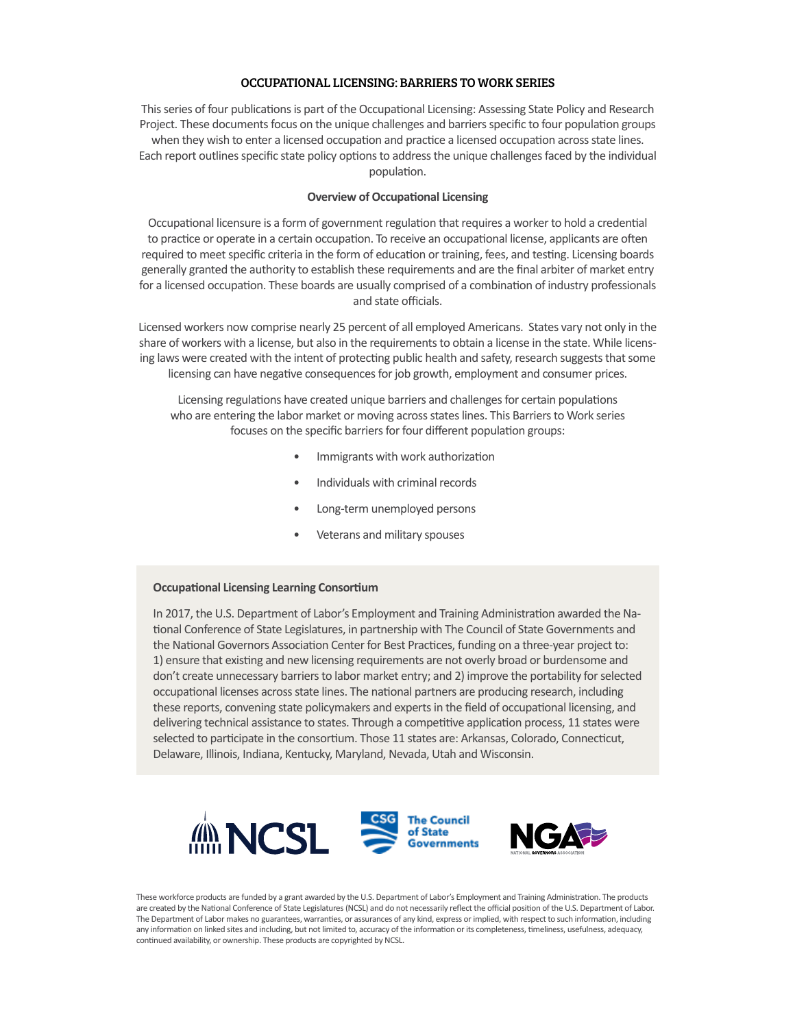#### OCCUPATIONAL LICENSING: BARRIERS TO WORK SERIES

This series of four publications is part of the Occupational Licensing: Assessing State Policy and Research Project. These documents focus on the unique challenges and barriers specific to four population groups when they wish to enter a licensed occupation and practice a licensed occupation across state lines. Each report outlines specific state policy options to address the unique challenges faced by the individual population.

#### **Overview of Occupational Licensing**

Occupational licensure is a form of government regulation that requires a worker to hold a credential to practice or operate in a certain occupation. To receive an occupational license, applicants are often required to meet specific criteria in the form of education or training, fees, and testing. Licensing boards generally granted the authority to establish these requirements and are the final arbiter of market entry for a licensed occupation. These boards are usually comprised of a combination of industry professionals and state officials.

Licensed workers now comprise nearly 25 percent of all employed Americans. States vary not only in the share of workers with a license, but also in the requirements to obtain a license in the state. While licensing laws were created with the intent of protecting public health and safety, research suggests that some licensing can have negative consequences for job growth, employment and consumer prices.

Licensing regulations have created unique barriers and challenges for certain populations who are entering the labor market or moving across states lines. This Barriers to Work series focuses on the specific barriers for four different population groups:

- Immigrants with work authorization
- Individuals with criminal records
- Long-term unemployed persons
- Veterans and military spouses

#### **Occupational Licensing Learning Consortium**

In 2017, the U.S. Department of Labor's Employment and Training Administration awarded the National Conference of State Legislatures, in partnership with The Council of State Governments and the National Governors Association Center for Best Practices, funding on a three-year project to: 1) ensure that existing and new licensing requirements are not overly broad or burdensome and don't create unnecessary barriers to labor market entry; and 2) improve the portability for selected occupational licenses across state lines. The national partners are producing research, including these reports, convening state policymakers and experts in the field of occupational licensing, and delivering technical assistance to states. Through a competitive application process, 11 states were selected to participate in the consortium. Those 11 states are: Arkansas, Colorado, Connecticut, Delaware, Illinois, Indiana, Kentucky, Maryland, Nevada, Utah and Wisconsin.



These workforce products are funded by a grant awarded by the U.S. Department of Labor's Employment and Training Administration. The products are created by the National Conference of State Legislatures (NCSL) and do not necessarily reflect the official position of the U.S. Department of Labor. The Department of Labor makes no guarantees, warranties, or assurances of any kind, express or implied, with respect to such information, including any information on linked sites and including, but not limited to, accuracy of the information or its completeness, timeliness, usefulness, adequacy, continued availability, or ownership. These products are copyrighted by NCSL.